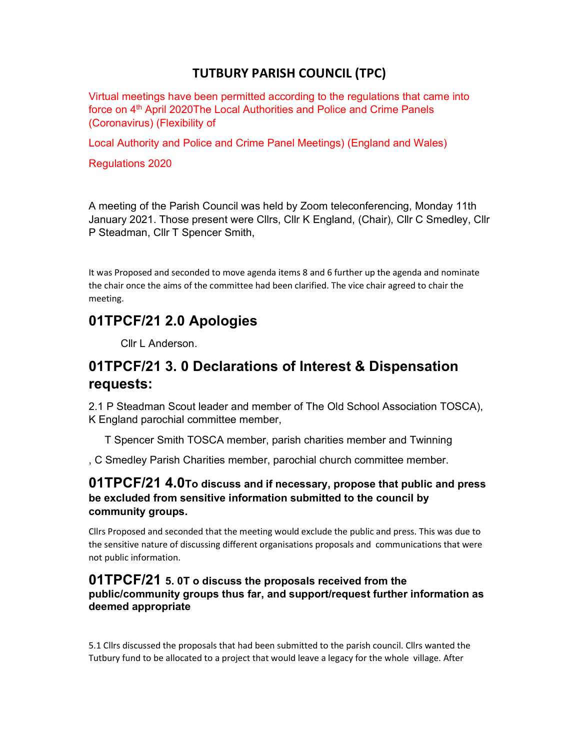## TUTBURY PARISH COUNCIL (TPC)

Virtual meetings have been permitted according to the regulations that came into force on 4<sup>th</sup> April 2020The Local Authorities and Police and Crime Panels (Coronavirus) (Flexibility of

Local Authority and Police and Crime Panel Meetings) (England and Wales)

Regulations 2020

A meeting of the Parish Council was held by Zoom teleconferencing, Monday 11th January 2021. Those present were Cllrs, Cllr K England, (Chair), Cllr C Smedley, Cllr P Steadman, Cllr T Spencer Smith,

It was Proposed and seconded to move agenda items 8 and 6 further up the agenda and nominate the chair once the aims of the committee had been clarified. The vice chair agreed to chair the meeting.

# 01TPCF/21 2.0 Apologies

Cllr L Anderson.

# 01TPCF/21 3. 0 Declarations of Interest & Dispensation requests:

2.1 P Steadman Scout leader and member of The Old School Association TOSCA), K England parochial committee member,

T Spencer Smith TOSCA member, parish charities member and Twinning

, C Smedley Parish Charities member, parochial church committee member.

#### 01TPCF/21 4.0To discuss and if necessary, propose that public and press be excluded from sensitive information submitted to the council by community groups.

Cllrs Proposed and seconded that the meeting would exclude the public and press. This was due to the sensitive nature of discussing different organisations proposals and communications that were not public information.

#### 01TPCF/21 5. 0T o discuss the proposals received from the public/community groups thus far, and support/request further information as deemed appropriate

5.1 Cllrs discussed the proposals that had been submitted to the parish council. Cllrs wanted the Tutbury fund to be allocated to a project that would leave a legacy for the whole village. After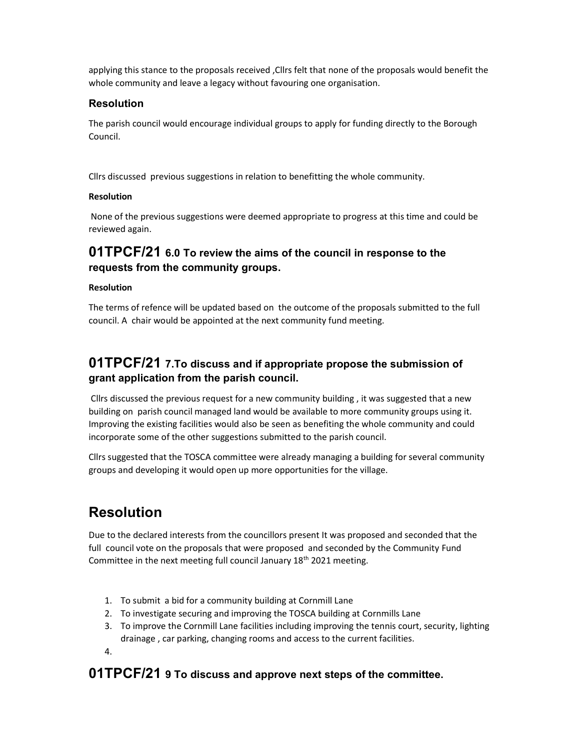applying this stance to the proposals received ,Cllrs felt that none of the proposals would benefit the whole community and leave a legacy without favouring one organisation.

#### **Resolution**

The parish council would encourage individual groups to apply for funding directly to the Borough Council.

Cllrs discussed previous suggestions in relation to benefitting the whole community.

#### Resolution

 None of the previous suggestions were deemed appropriate to progress at this time and could be reviewed again.

## 01TPCF/21 6.0 To review the aims of the council in response to the requests from the community groups.

#### Resolution

The terms of refence will be updated based on the outcome of the proposals submitted to the full council. A chair would be appointed at the next community fund meeting.

## 01TPCF/21 7.To discuss and if appropriate propose the submission of grant application from the parish council.

 Cllrs discussed the previous request for a new community building , it was suggested that a new building on parish council managed land would be available to more community groups using it. Improving the existing facilities would also be seen as benefiting the whole community and could incorporate some of the other suggestions submitted to the parish council.

Cllrs suggested that the TOSCA committee were already managing a building for several community groups and developing it would open up more opportunities for the village.

# Resolution

Due to the declared interests from the councillors present It was proposed and seconded that the full council vote on the proposals that were proposed and seconded by the Community Fund Committee in the next meeting full council January 18<sup>th</sup> 2021 meeting.

- 1. To submit a bid for a community building at Cornmill Lane
- 2. To investigate securing and improving the TOSCA building at Cornmills Lane
- 3. To improve the Cornmill Lane facilities including improving the tennis court, security, lighting drainage , car parking, changing rooms and access to the current facilities.
- 4.

## 01TPCF/21 9 To discuss and approve next steps of the committee.